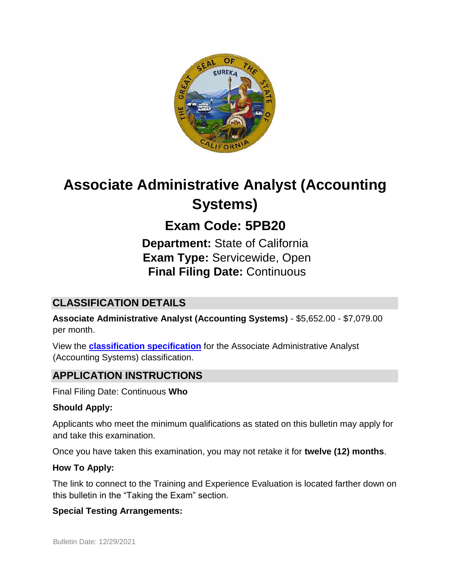

# **Associate Administrative Analyst (Accounting Systems)**

# **Exam Code: 5PB20**

**Department:** State of California **Exam Type:** Servicewide, Open **Final Filing Date:** Continuous

# **CLASSIFICATION DETAILS**

**Associate Administrative Analyst (Accounting Systems)** - \$5,652.00 - \$7,079.00 per month.

View the **[classification specification](http://calhr.ca.gov/state-hr-professionals/pages/5304.aspx)** for the Associate Administrative Analyst (Accounting Systems) classification.

# **APPLICATION INSTRUCTIONS**

Final Filing Date: Continuous **Who** 

#### **Should Apply:**

Applicants who meet the minimum qualifications as stated on this bulletin may apply for and take this examination.

Once you have taken this examination, you may not retake it for **twelve (12) months**.

#### **How To Apply:**

The link to connect to the Training and Experience Evaluation is located farther down on this bulletin in the "Taking the Exam" section.

#### **Special Testing Arrangements:**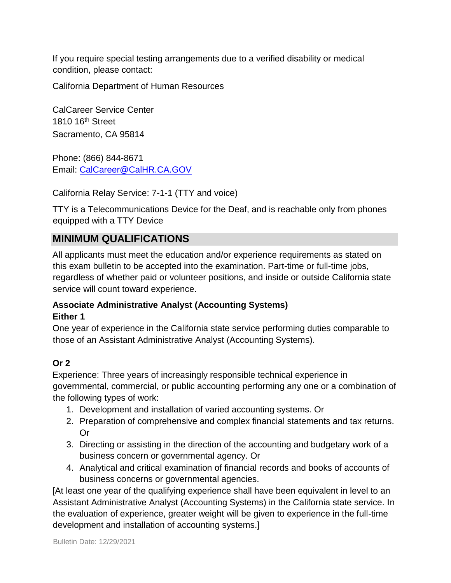If you require special testing arrangements due to a verified disability or medical condition, please contact:

California Department of Human Resources

CalCareer Service Center 1810 16<sup>th</sup> Street Sacramento, CA 95814

Phone: (866) 844-8671 Email: CalCareer@CalHR.CA.GOV

California Relay Service: 7-1-1 (TTY and voice)

TTY is a Telecommunications Device for the Deaf, and is reachable only from phones equipped with a TTY Device

#### **MINIMUM QUALIFICATIONS**

All applicants must meet the education and/or experience requirements as stated on this exam bulletin to be accepted into the examination. Part-time or full-time jobs, regardless of whether paid or volunteer positions, and inside or outside California state service will count toward experience.

#### **Associate Administrative Analyst (Accounting Systems) Either 1**

One year of experience in the California state service performing duties comparable to those of an Assistant Administrative Analyst (Accounting Systems).

#### **Or 2**

Experience: Three years of increasingly responsible technical experience in governmental, commercial, or public accounting performing any one or a combination of the following types of work:

- 1. Development and installation of varied accounting systems. Or
- 2. Preparation of comprehensive and complex financial statements and tax returns. Or
- 3. Directing or assisting in the direction of the accounting and budgetary work of a business concern or governmental agency. Or
- 4. Analytical and critical examination of financial records and books of accounts of business concerns or governmental agencies.

[At least one year of the qualifying experience shall have been equivalent in level to an Assistant Administrative Analyst (Accounting Systems) in the California state service. In the evaluation of experience, greater weight will be given to experience in the full-time development and installation of accounting systems.]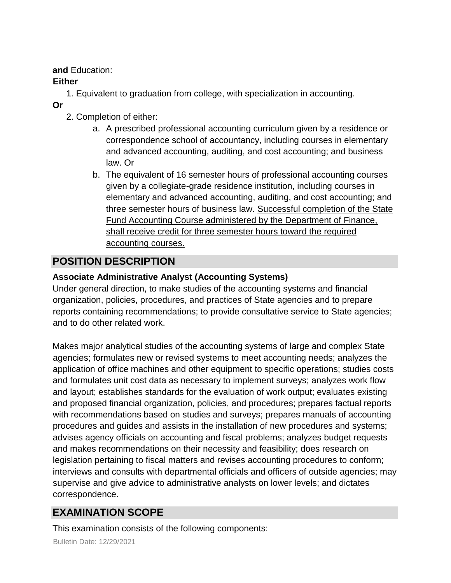**and** Education:

#### **Either**

- 1. Equivalent to graduation from college, with specialization in accounting.
- **Or**
- 2. Completion of either:
	- a. A prescribed professional accounting curriculum given by a residence or correspondence school of accountancy, including courses in elementary and advanced accounting, auditing, and cost accounting; and business law. Or
	- b. The equivalent of 16 semester hours of professional accounting courses given by a collegiate-grade residence institution, including courses in elementary and advanced accounting, auditing, and cost accounting; and three semester hours of business law. Successful completion of the State Fund Accounting Course administered by the Department of Finance, shall receive credit for three semester hours toward the required accounting courses.

# **POSITION DESCRIPTION**

#### **Associate Administrative Analyst (Accounting Systems)**

Under general direction, to make studies of the accounting systems and financial organization, policies, procedures, and practices of State agencies and to prepare reports containing recommendations; to provide consultative service to State agencies; and to do other related work.

Makes major analytical studies of the accounting systems of large and complex State agencies; formulates new or revised systems to meet accounting needs; analyzes the application of office machines and other equipment to specific operations; studies costs and formulates unit cost data as necessary to implement surveys; analyzes work flow and layout; establishes standards for the evaluation of work output; evaluates existing and proposed financial organization, policies, and procedures; prepares factual reports with recommendations based on studies and surveys; prepares manuals of accounting procedures and guides and assists in the installation of new procedures and systems; advises agency officials on accounting and fiscal problems; analyzes budget requests and makes recommendations on their necessity and feasibility; does research on legislation pertaining to fiscal matters and revises accounting procedures to conform; interviews and consults with departmental officials and officers of outside agencies; may supervise and give advice to administrative analysts on lower levels; and dictates correspondence.

# **EXAMINATION SCOPE**

This examination consists of the following components: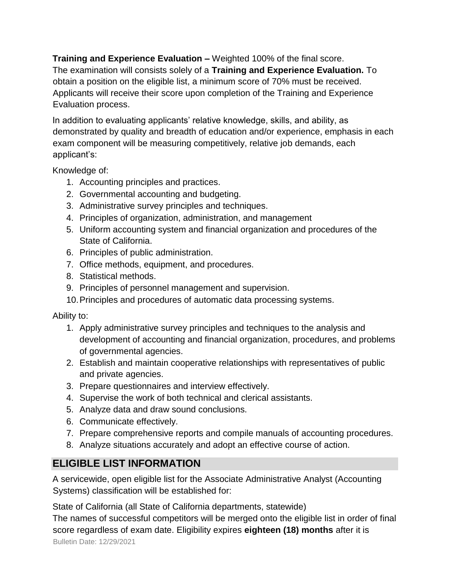**Training and Experience Evaluation –** Weighted 100% of the final score.

The examination will consists solely of a **Training and Experience Evaluation.** To obtain a position on the eligible list, a minimum score of 70% must be received. Applicants will receive their score upon completion of the Training and Experience Evaluation process.

In addition to evaluating applicants' relative knowledge, skills, and ability, as demonstrated by quality and breadth of education and/or experience, emphasis in each exam component will be measuring competitively, relative job demands, each applicant's:

Knowledge of:

- 1. Accounting principles and practices.
- 2. Governmental accounting and budgeting.
- 3. Administrative survey principles and techniques.
- 4. Principles of organization, administration, and management
- 5. Uniform accounting system and financial organization and procedures of the State of California.
- 6. Principles of public administration.
- 7. Office methods, equipment, and procedures.
- 8. Statistical methods.
- 9. Principles of personnel management and supervision.
- 10.Principles and procedures of automatic data processing systems.

Ability to:

- 1. Apply administrative survey principles and techniques to the analysis and development of accounting and financial organization, procedures, and problems of governmental agencies.
- 2. Establish and maintain cooperative relationships with representatives of public and private agencies.
- 3. Prepare questionnaires and interview effectively.
- 4. Supervise the work of both technical and clerical assistants.
- 5. Analyze data and draw sound conclusions.
- 6. Communicate effectively.
- 7. Prepare comprehensive reports and compile manuals of accounting procedures.
- 8. Analyze situations accurately and adopt an effective course of action.

### **ELIGIBLE LIST INFORMATION**

A servicewide, open eligible list for the Associate Administrative Analyst (Accounting Systems) classification will be established for:

State of California (all State of California departments, statewide)

Bulletin Date: 12/29/2021 The names of successful competitors will be merged onto the eligible list in order of final score regardless of exam date. Eligibility expires **eighteen (18) months** after it is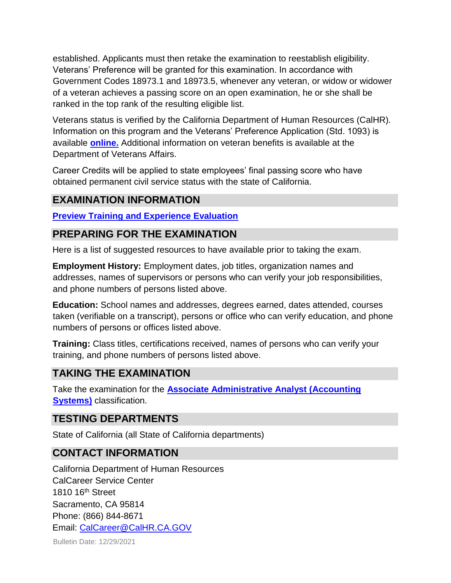established. Applicants must then retake the examination to reestablish eligibility. Veterans' Preference will be granted for this examination. In accordance with Government Codes 18973.1 and 18973.5, whenever any veteran, or widow or widower of a veteran achieves a passing score on an open examination, he or she shall be ranked in the top rank of the resulting eligible list.

Veterans status is verified by the California Department of Human Resources (CalHR). Information on this program and the Veterans' Preference Application (Std. 1093) is available **[online.](https://www.jobs.ca.gov/CalHRPublic/Landing/Jobs/VeteransInformation.aspx)** [A](https://www.jobs.ca.gov/CalHRPublic/Landing/Jobs/VeteransInformation.aspx)dditional information on veteran benefits is available at the Department of Veterans Affairs.

Career Credits will be applied to state employees' final passing score who have obtained permanent civil service status with the state of California.

## **EXAMINATION INFORMATION**

**[Preview Training and Experience Evaluation](https://jobs.ca.gov/jobsgen/5PB20B.pdf)**

#### **PREPARING FOR THE EXAMINATION**

Here is a list of suggested resources to have available prior to taking the exam.

**Employment History:** Employment dates, job titles, organization names and addresses, names of supervisors or persons who can verify your job responsibilities, and phone numbers of persons listed above.

**Education:** School names and addresses, degrees earned, dates attended, courses taken (verifiable on a transcript), persons or office who can verify education, and phone numbers of persons or offices listed above.

**Training:** Class titles, certifications received, names of persons who can verify your training, and phone numbers of persons listed above.

### **TAKING THE EXAMINATION**

Take the examination for the **[Associate Administrative Analyst \(Accounting](https://jobs.ca.gov/CalHRPublic/Login.aspx?ExamId=5PB20) [Systems\)](https://jobs.ca.gov/CalHRPublic/Login.aspx?ExamId=5PB20)** [c](https://jobs.ca.gov/CalHRPublic/Login.aspx?ExamId=5PB20)lassification.

#### **TESTING DEPARTMENTS**

State of California (all State of California departments)

#### **CONTACT INFORMATION**

California Department of Human Resources CalCareer Service Center 1810 16<sup>th</sup> Street Sacramento, CA 95814 Phone: (866) 844-8671 Email: CalCareer@CalHR.CA.GOV

Bulletin Date: 12/29/2021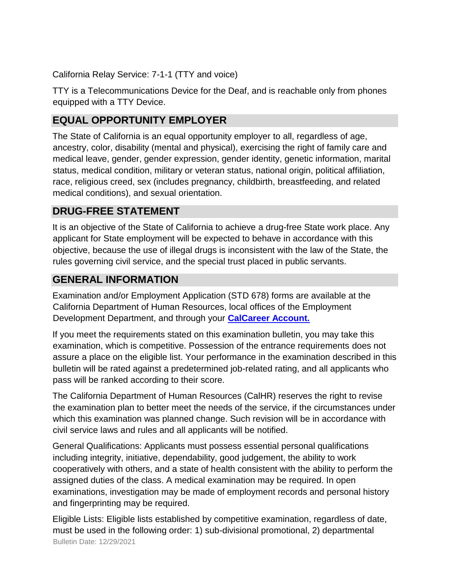California Relay Service: 7-1-1 (TTY and voice)

TTY is a Telecommunications Device for the Deaf, and is reachable only from phones equipped with a TTY Device.

# **EQUAL OPPORTUNITY EMPLOYER**

The State of California is an equal opportunity employer to all, regardless of age, ancestry, color, disability (mental and physical), exercising the right of family care and medical leave, gender, gender expression, gender identity, genetic information, marital status, medical condition, military or veteran status, national origin, political affiliation, race, religious creed, sex (includes pregnancy, childbirth, breastfeeding, and related medical conditions), and sexual orientation.

## **DRUG-FREE STATEMENT**

It is an objective of the State of California to achieve a drug-free State work place. Any applicant for State employment will be expected to behave in accordance with this objective, because the use of illegal drugs is inconsistent with the law of the State, the rules governing civil service, and the special trust placed in public servants.

# **GENERAL INFORMATION**

Examination and/or Employment Application (STD 678) forms are available at the California Department of Human Resources, local offices of the Employment Development Department, and through your **[CalCareer Account.](http://www.jobs.ca.gov/)**

If you meet the requirements stated on this examination bulletin, you may take this examination, which is competitive. Possession of the entrance requirements does not assure a place on the eligible list. Your performance in the examination described in this bulletin will be rated against a predetermined job-related rating, and all applicants who pass will be ranked according to their score.

The California Department of Human Resources (CalHR) reserves the right to revise the examination plan to better meet the needs of the service, if the circumstances under which this examination was planned change. Such revision will be in accordance with civil service laws and rules and all applicants will be notified.

General Qualifications: Applicants must possess essential personal qualifications including integrity, initiative, dependability, good judgement, the ability to work cooperatively with others, and a state of health consistent with the ability to perform the assigned duties of the class. A medical examination may be required. In open examinations, investigation may be made of employment records and personal history and fingerprinting may be required.

Bulletin Date: 12/29/2021 Eligible Lists: Eligible lists established by competitive examination, regardless of date, must be used in the following order: 1) sub-divisional promotional, 2) departmental